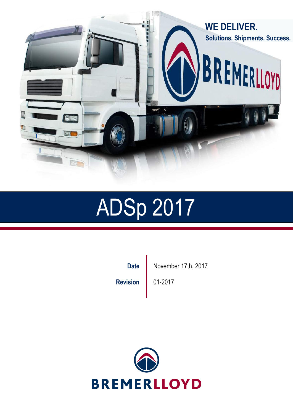

# ADSp 2017

**Revision** 01-2017

Date | November 17th, 2017

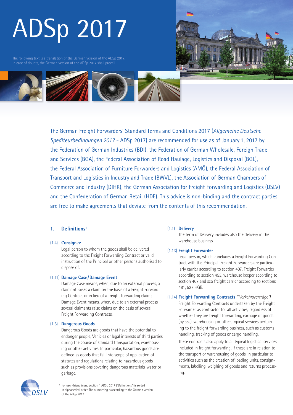# ADSp 2017

The following text is a translation of the German version of the ADSp 2017. In case of doubts, the German version of the ADSp 2017 shall prevail.





The German Freight Forwarders' Standard Terms and Conditions 2017 (*Allgemeine Deutsche Spediteurbedingungen 2017* - ADSp 2017) are recommended for use as of January 1, 2017 by the Federation of German Industries (BDI), the Federation of German Wholesale, Foreign Trade and Services (BGA), the Federal Association of Road Haulage, Logistics and Disposal (BGL), the Federal Association of Furniture Forwarders and Logistics (AMÖ), the Federal Association of Transport and Logistics in Industry and Trade (BWVL), the Association of German Chambers of Commerce and Industry (DIHK), the German Association for Freight Forwarding and Logistics (DSLV) and the Confederation of German Retail (HDE). This advice is non-binding and the contract parties are free to make agreements that deviate from the contents of this recommendation.

# **1. Definitions1**

### (1.4) **Consignee**

Legal person to whom the goods shall be delivered according to the Freight Forwarding Contract or valid instruction of the Principal or other persons authorised to dispose of.

### (1.11) **Damage Case/Damage Event**

Damage Case means, when, due to an external process, a claimant raises a claim on the basis of a Freight Forwarding Contract or in lieu of a freight forwarding claim; Damage Event means, when, due to an external process, several claimants raise claims on the basis of several Freight Forwarding Contracts.

### (1.6) **Dangerous Goods**

Dangerous Goods are goods that have the potential to endanger people, Vehicles or legal interests of third parties during the course of standard transportation, warehousing or other activities. In particular, hazardous goods are defined as goods that fall into scope of application of statutes and regulations relating to hazardous goods, such as provisions covering dangerous materials, water or garbage.

### (1.1) **Delivery**

The term of Delivery includes also the delivery in the warehouse business.

# (1.13) **Freight Forwarder**

Legal person, which concludes a Freight Forwarding Contract with the Principal. Freight Forwarders are particularly carrier according to section 407, Freight Forwarder according to section 453, warehouse keeper according to section 467 and sea freight carrier according to sections 481, 527 HGB.

### (1.14) **Freight Forwarding Contracts** *("Verkehrsverträge")*

Freight Forwarding Contracts undertaken by the Freight Forwarder as contractor for all activities, regardless of whether they are freight forwarding, carriage of goods (by sea), warehousing or other, typical services pertaining to the freight forwarding business, such as customs handling, tracking of goods or cargo handling.

These contracts also apply to all typical logistical services included in freight forwarding, if these are in relation to the transport or warehousing of goods, in particular to activities such as the creation of loading units, consignments, labelling, weighing of goods and returns processing.



<sup>1</sup> For user-friendliness, Section 1 ADSp 2017 ("Definitions") is sorted in alphabetical order. The numbering is according to the German version of the ADSp 2017.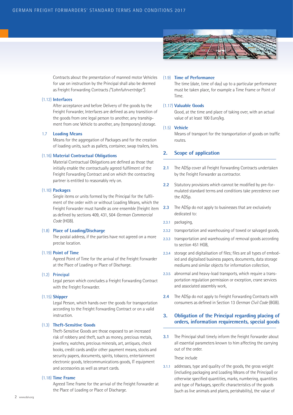

Contracts about the presentation of manned motor Vehicles for use on instruction by the Principal shall also be deemed as Freight Forwarding Contracts *("Lohnfuhrverträge")*.

### (1.12) **Interfaces**

After acceptance and before Delivery of the goods by the Freight Forwarder, Interfaces are defined as any transition of the goods from one legal person to another, any transhipment from one Vehicle to another, any (temporary) storage.

### 1.7 **Loading Means**

Means for the aggregation of Packages and for the creation of loading units, such as pallets, container, swap trailers, bins.

### (1.16) **Material Contractual Obligations**

Material Contractual Obligations are defined as those that initially enable the contractually agreed fulfilment of the Freight Forwarding Contract and on which the contracting partner is entitled to reasonably rely on.

### (1.10) **Packages**

Single items or units formed by the Principal for the fulfilment of the order with or without Loading Means, which the Freight Forwarder must handle as one ensemble (freight item as defined by sections 409, 431, 504 *German Commercial Code* (HGB).

### (1.8) **Place of Loading/Discharge**

The postal address, if the parties have not agreed on a more precise location.

### (1.19) **Point of Time**

Agreed Point of Time for the arrival of the Freight Forwarder at the Place of Loading or Place of Discharge.

### (1.2) **Principal**

Legal person which concludes a Freight Forwarding Contract with the Freight Forwarder.

### (1.15) **Shipper**

Legal Person, which hands over the goods for transportation according to the Freight Forwarding Contract or on a valid instruction.

### (1.3) **Theft-Sensitive Goods**

Theft-Sensitive Goods are those exposed to an increased risk of robbery and theft, such as money, precious metals, jewellery, watches, precious minerals, art, antiques, check books, credit cards and/or other payment means, stocks and security papers, documents, spirits, tobacco, entertainment electronic goods, telecommunications goods, IT equipment and accessories as well as smart cards.

### (1.18) **Time Frame**

Agreed Time Frame for the arrival of the Freight Forwarder at the Place of Loading or Place of Discharge.

### (1.9) **Time of Performance**

The time (date, time of day) up to a particular performance must be taken place, for example a Time Frame or Point of Time.

### (1.17) **Valuable Goods**

Good, at the time and place of taking over, with an actual value of at least 100 Euro/kg.

### (1.5) **Vehicle**

Means of transport for the transportation of goods on traffic routes.

# **2. Scope of application**

- **2.1** The ADSp cover all Freight Forwarding Contracts undertaken by the Freight Forwarder as contractor.
- **2.2** Statutory provisions which cannot be modified by pre-formulated standard terms and conditions take precedence over the ADSp.
- **2.3** The ADSp do not apply to businesses that are exclusively dedicated to:
- 2.3.1 packaging,
- 2.3.2 transportation and warehousing of towed or salvaged goods,
- 2.3.3 transportation and warehousing of removal goods according to section 451 HGB,
- 2.3.4 storage and digitalisation of files; files are all types of embodied and digitalised business papers, documents, data storage mediums and similar objects for information collection,
- 2.3.5 abnormal and heavy-load transports, which require a transportation regulation permission or exception, crane services and associated assembly work,
- **2.4** The ADSp do not apply to Freight Forwarding Contracts with consumers as defined in Section 13 *German Civil Code* (BGB).

# **3. Obligation of the Principal regarding placing of orders, information requirements, special goods**

**3.1** The Principal shall timely inform the Freight Forwarder about all essential parameters known to him affecting the carrying out of the order.

These include

3.1.1 addresses, type and quality of the goods, the gross weight (including packaging and Loading Means of the Principal) or otherwise specified quantities, marks, numbering, quantities and type of Packages, specific characteristics of the goods (such as live animals and plants, perishability), the value of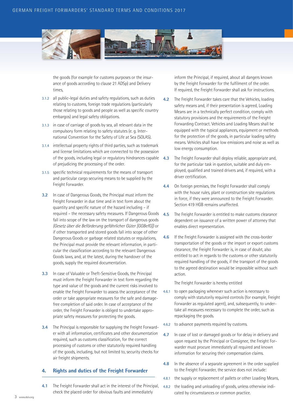

the goods (for example for customs purposes or the insurance of goods according to clause 21 ADSp) and Delivery times,

- 3.1.2 all public-legal duties and safety regulations, such as duties relating to customs, foreign trade regulations (particularly those relating to goods and people as well as specific country embargos) and legal safety obligations.
- 3.1.3 in case of carriage of goods by sea, all relevant data in the compulsory form relating to safety statutes (e. g. International Convention for the Safety of Life at Sea (SOLAS).
- 3.1.4 intellectual property rights of third parties, such as trademark and license limitations which are connected to the possession of the goods, including legal or regulatory hindrances capable 4.3 of prejudicing the processing of the order.
- 3.1.5 specific technical requirements for the means of transport and particular cargo securing means to be supplied by the Freight Forwarder.
- **3.2** In case of Dangerous Goods, the Principal must inform the Freight Forwarder in due time and in text form about the quantity and specific nature of the hazard including – if required – the necessary safety measures. If Dangerous Goods fall into scope of the law on the transport of dangerous goods *(Gesetz über die Beförderung gefährlicher Güter [GGBefG])* or if other transported and stored goods fall into scope of other Dangerous Goods or garbage related statutes or regulations, the Principal must provide the relevant information, in particular the classification according to the relevant Dangerous Goods laws, and, at the latest, during the handover of the goods, supply the required documentation.
- **3.3** In case of Valuable or Theft-Sensitive Goods, the Principal must inform the Freight Forwarder in text form regarding the type and value of the goods and the current risks involved to enable the Freight Forwarder to assess the acceptance of the order or take appropriate measures for the safe and damagefree completion of said order. In case of acceptance of the order, the Freight Forwarder is obliged to undertake appropriate safety measures for protecting the goods.
- **3.4** The Principal is responsible for supplying the Freight Forwarder with all information, certificates and other documentation required, such as customs classification, for the correct processing of customs or other statutorily required handling of the goods, including, but not limited to, security checks for air freight shipments.

# **4. Rights and duties of the Freight Forwarder**

**4.1** The Freight Forwarder shall act in the interest of the Principal, check the placed order for obvious faults and immediately

inform the Principal, if required, about all dangers known by the Freight Forwarder for the fulfilment of the order. If required, the Freight Forwarder shall ask for instructions.

- **4.2** The Freight Forwarder takes care that the Vehicles, loading safety means and, if their presentation is agreed, Loading Means are in a technically perfect condition, comply with statutory provisions and the requirements of the Freight Forwarding Contract. Vehicles and Loading Means shall be equipped with the typical appliances, equipment or methods for the protection of the goods, in particular loading safety means. Vehicles shall have low emissions and noise as well as low energy consumption.
- **4.3** The Freight Forwarder shall deploy reliable, appropriate and, for the particular task in question, suitable and duly employed, qualified and trained drivers and, if required, with a driver certification.
- **4.4** On foreign premises, the Freight Forwarder shall comply with the house rules, plant or construction site regulations in force, if they were announced to the Freight Forwarder. Section 419 HGB remains unaffected.
- **4.5** The Freight Forwarder is entitled to make customs clearance dependent on issuance of a written power of attorney that enables direct representation.
- **4.6** If the Freight Forwarder is assigned with the cross-border transportation of the goods or the import or export customs clearance, the Freight Forwarder is, in case of doubt, also entitled to act in regards to the customs or other statutorily required handling of the goods, if the transport of the goods to the agreed destination would be impossible without such action.

The Freight Forwarder is hereby entitled

- 4.6.1 to open packaging whenever such action is necessary to comply with statutorily required controls (for example, Freight Forwarder as regulated agent), and, subsequently, to undertake all measures necessary to complete the order, such as repackaging the goods.
- 4.6.2 to advance payments required by customs.
- **4.7** In case of lost or damaged goods or for delay in delivery and upon request by the Principal or Consignee, the Freight Forwarder must procure immediately all required and known information for securing their compensation claims.
- **4.8** In the absence of a separate agreement in the order supplied to the Freight Forwarder, the service does not include:
- 4.8.1 the supply or replacement of pallets or other Loading Means,
- 4.8.2 the loading and unloading of goods, unless otherwise indicated by circumstances or common practice.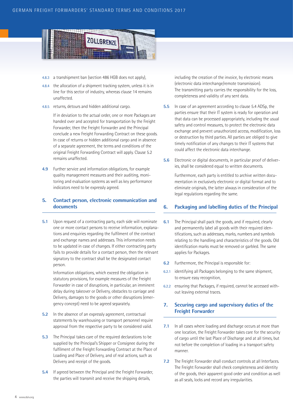

- 4.8.3 a transhipment ban (section 486 HGB does not apply),
- 4.8.4 the allocation of a shipment tracking system, unless it is in line for this sector of industry, whereas clause 14 remains unaffected.
- 4.8.5 returns, detours and hidden additional cargo.

If in deviation to the actual order, one or more Packages are handed over and accepted for transportation by the Freight Forwarder, then the Freight Forwarder and the Principal conclude a new Freight Forwarding Contract on these goods. In case of returns or hidden additional cargo and in absence of a separate agreement, the terms and conditions of the original Freight Forwarding Contract will apply. Clause 5.2 remains unaffected.

**4.9** Further service and information obligations, for example quality management measures and their auditing, monitoring and evaluation systems as well as key performance indicators need to be expressly agreed.

# **5. Contact person, electronic communication and documents**

**5.1** Upon request of a contracting party, each side will nominate one or more contact persons to receive information, explanations and enquiries regarding the fulfilment of the contract and exchange names and addresses. This information needs to be updated in case of changes. If either contracting party fails to provide details for a contact person, then the relevant signatory to the contract shall be the designated contact person.

Information obligations, which exceed the obligation in statutory provisions, for example measures of the Freight Forwarder in case of disruptions, in particular, an imminent delay during takeover or Delivery, obstacles to carriage and Delivery, damages to the goods or other disruptions (emergency concept) need to be agreed separately.

- **5.2** In the absence of an expressly agreement, contractual statements by warehousing or transport personnel require approval from the respective party to be considered valid.
- **5.3** The Principal takes care of the required declarations to be supplied by the Principal's Shipper or Consignee during the fulfilment of the Freight Forwarding Contract at the Place of Loading and Place of Delivery, and of real actions, such as Delivery and receipt of the goods.
- **5.4** If agreed between the Principal and the Freight Forwarder, the parties will transmit and receive the shipping details,

including the creation of the invoice, by electronic means (electronic data interchange/remote transmission). The transmitting party carries the responsibility for the loss, completeness and validity of any sent data.

- **5.5** In case of an agreement according to clause 5.4 ADSp, the parties ensure that their IT system is ready for operation and that data can be processed appropriately, including the usual safety and control measures, to protect the electronic data exchange and prevent unauthorized access, modification, loss or destruction by third parties. All parties are obliged to give timely notification of any changes to their IT systems that could affect the electronic data interchange.
- **5.6** Electronic or digital documents, in particular proof of deliveries, shall be considered equal to written documents.

Furthermore, each party is entitled to archive written documentation in exclusively electronic or digital format and to eliminate originals, the latter always in consideration of the legal regulations regarding the same.

# **6. Packaging and labelling duties of the Principal**

- **6.1** The Principal shall pack the goods, and if required, clearly and permanently label all goods with their required identifications, such as addresses, marks, numbers and symbols relating to the handling and characteristics of the goods. Old identification marks must be removed or garbled. The same applies for Packages.
- **6.2** Furthermore, the Principal is responsible for:
- 6.2.1 identifying all Packages belonging to the same shipment, to ensure easy recognition,
- 6.2.2 ensuring that Packages, if required, cannot be accessed without leaving external traces.

# **7. Securing cargo and supervisory duties of the Freight Forwarder**

- **7.1** In all cases where loading and discharge occurs at more than one location, the Freight Forwarder takes care for the security of cargo until the last Place of Discharge and at all times, but not before the completion of loading in a transport safety manner.
- **7.2** The Freight Forwarder shall conduct controls at all Interfaces. The Freight Forwarder shall check completeness and identity of the goods, their apparent good order and condition as well as all seals, locks and record any irregularities.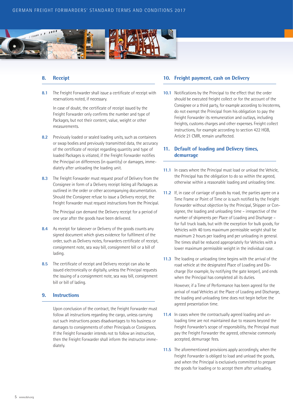

# **8. Receipt**

**8.1** The Freight Forwarder shall issue a certificate of receipt with reservations noted, if necessary.

In case of doubt, the certificate of receipt issued by the Freight Forwarder only confirms the number and type of Packages, but not their content, value, weight or other measurements.

- **8.2** Previously loaded or sealed loading units, such as containers or swap bodies and previously transmitted data, the accuracy of the certificate of receipt regarding quantity and type of loaded Packages is vitiated, if the Freight Forwarder notifies the Principal on differences (in quantity) or damages, immediately after unloading the loading unit.
- **8.3** The Freight Forwarder must request proof of Delivery from the Consignee in form of a Delivery receipt listing all Packages as outlined in the order or other accompanying documentation. Should the Consignee refuse to issue a Delivery receipt, the Freight Forwarder must request instructions from the Principal.

The Principal can demand the Delivery receipt for a period of one year after the goods have been delivered.

- **8.4** As receipt for takeover or Delivery of the goods counts any signed document which gives evidence for fulfilment of the order, such as Delivery notes, forwarders certificate of receipt, consignment note, sea way bill, consignment bill or a bill of lading.
- **8.5** The certificate of receipt and Delivery receipt can also be issued electronically or digitally, unless the Principal requests the issuing of a consignment note, sea way bill, consignment bill or bill of lading.

# **9. Instructions**

Upon conclusion of the contract, the Freight Forwarder must follow all instructions regarding the cargo, unless carrying out such instructions poses disadvantages to his business or damages to consignments of other Principals or Consignees. If the Freight Forwarder intends not to follow an instruction, then the Freight Forwarder shall inform the instructor immediately.

# **10. Freight payment, cash on Delivery**

**10.1** Notifications by the Principal to the effect that the order should be executed freight collect or for the account of the Consignee or a third party, for example according to Incoterms, do not exempt the Principal from his obligation to pay the Freight Forwarder its remuneration and outlays, including freights, customs charges and other expenses. Freight collect instructions, for example according to section 422 HGB, Article 21 CMR, remain unaffected.

# **11. Default of loading and Delivery times, demurrage**

- **11.1** In cases where the Principal must load or unload the Vehicle, the Principal has the obligation to do so within the agreed, otherwise within a reasonable loading and unloading time.
- **11.2** If, in case of carriage of goods by road, the parties agree on a Time Frame or Point of Time or is such notified by the Freight Forwarder without objection by the Principal, Shipper or Consignee, the loading and unloading time – irrespective of the number of shipments per Place of Loading and Discharge – for full truck loads, but with the exception for bulk goods, for Vehicles with 40 tons maximum permissible weight shall be maximum 2 hours per loading and per unloading in general. The times shall be reduced appropriately for Vehicles with a lower maximum permissible weight in the individual case.
- **11.3** The loading or unloading time begins with the arrival of the road vehicle at the designated Place of Loading and Discharge (for example, by notifying the gate keeper), and ends when the Principal has completed all its duties.

However, if a Time of Performance has been agreed for the arrival of road Vehicles at the Place of Loading and Discharge, the loading and unloading time does not begin before the agreed presentation time.

- **11.4** In cases where the contractually agreed loading and unloading time are not maintained due to reasons beyond the Freight Forwarder's scope of responsibility, the Principal must pay the Freight Forwarder the agreed, otherwise commonly accepted, demurrage fees.
- **11.5** The aforementioned provisions apply accordingly, when the Freight Forwarder is obliged to load and unload the goods, and when the Principal is exclusively committed to prepare the goods for loading or to accept them after unloading.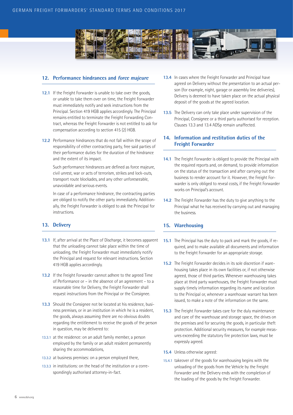

# **12. Performance hindrances and force majeure**

- **12.1** If the Freight Forwarder is unable to take over the goods, or unable to take them over on time, the Freight Forwarder must immediately notify and seek instructions from the Principal. Section 419 HGB applies accordingly. The Principal remains entitled to terminate the Freight Forwarding Contract, whereas the Freight Forwarder is not entitled to ask for compensation according to section 415 (2) HGB.
- **12.2** Performance hindrances that do not fall within the scope of responsibility of either contracting party, free said parties of their performance duties for the duration of the hindrance and the extent of its impact.

Such performance hindrances are defined as force majeure, civil unrest, war or acts of terrorism, strikes and lock-outs, transport route blockades, and any other unforeseeable, unavoidable and serious events.

In case of a performance hindrance, the contracting parties are obliged to notify the other party immediately. Additionally, the Freight Forwarder is obliged to ask the Principal for instructions.

# **13. Delivery**

- **13.1** If, after arrival at the Place of Discharge, it becomes apparent that the unloading cannot take place within the time of unloading, the Freight Forwarder must immediately notify the Principal and request for relevant instructions. Section 419 HGB applies accordingly.
- **13.2** If the Freight Forwarder cannot adhere to the agreed Time of Performance or – in the absence of an agreement – to a reasonable time for Delivery, the Freight Forwarder shall request instructions from the Principal or the Consignee.
- **13.3** Should the Consignee not be located at his residence, business premises, or in an institution in which he is a resident, the goods, always assuming there are no obvious doubts regarding the entitlement to receive the goods of the person in question, may be delivered to:
- 13.3.1 at the residence: on an adult family member, a person employed by the family or an adult resident permanently sharing the accommodations,
- 13.3.2 at business premises: on a person employed there,
- 13.3.3 in institutions: on the head of the institution or a correspondingly authorised attorney-in-fact.
- **13.4** In cases where the Freight Forwarder and Principal have agreed on Delivery without the presentation to an actual person (for example, night, garage or assembly line deliveries), Delivery is deemed to have taken place on the actual physical deposit of the goods at the agreed location.
- **13.5** The Delivery can only take place under supervision of the Principal, Consignee or a third party authorised for reception. Clauses 13.3 and 13.4 ADSp remain unaffected.

# **14. Information and restitution duties of the Freight Forwarder**

- **14.1** The Freight Forwarder is obliged to provide the Principal with the required reports and, on demand, to provide information on the status of the transaction and after carrying out the business to render account for it. However, the Freight Forwarder is only obliged to reveal costs, if the Freight Forwarder works on Principal's account.
- **14.2** The Freight Forwarder has the duty to give anything to the Principal what he has received by carrying out and managing the business.

# **15. Warehousing**

- **15.1** The Principal has the duty to pack and mark the goods, if required, and to make available all documents and information to the Freight Forwarder for an appropriate storage.
- **15.2** The Freight Forwarder decides in its sole discretion if warehousing takes place in its own facilities or, if not otherwise agreed, those of third parties. Whenever warehousing takes place at third party warehouses, the Freight Forwarder must supply timely information regarding its name and location to the Principal or, whenever a warehouse warrant has been issued, to make a note of the information on the same.
- **15.3** The Freight Forwarder takes care for the duly maintenance and care of the warehouse and storage space, the drives on the premises and for securing the goods, in particular theft protection. Additional security measures, for example measures exceeding the statutory fire protection laws, must be expressly agreed.
- **15.4** Unless otherwise agreed:
- 15.4.1 takeover of the goods for warehousing begins with the unloading of the goods from the Vehicle by the Freight Forwarder and the Delivery ends with the completion of the loading of the goods by the Freight Forwarder.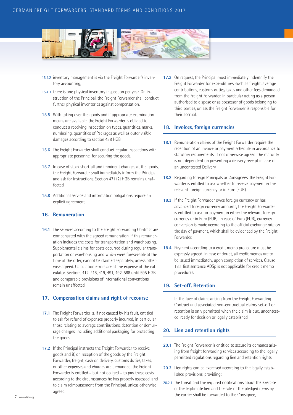

- 15.4.2 inventory management is via the Freight Forwarder's inventory accounting,
- 15.4.3 there is one physical inventory inspection per year. On instruction of the Principal, the Freight Forwarder shall conduct further physical inventories against compensation.
- **15.5** With taking over the goods and if appropriate examination means are available, the Freight Forwarder is obliged to conduct a receiving inspection on types, quantities, marks, numbering, quantities of Packages as well as outer visible damages according to section 438 HGB.
- **15.6** The Freight Forwarder shall conduct regular inspections with appropriate personnel for securing the goods.
- **15.7** In case of stock shortfall and imminent changes at the goods, the Freight Forwarder shall immediately inform the Principal and ask for instructions. Section 471 (2) HGB remains unaffected.
- **15.8** Additional service and information obligations require an explicit agreement.

# **16. Remuneration**

**16.1** The services according to the Freight Forwarding Contract are compensated with the agreed remuneration, if this remuneration includes the costs for transportation and warehousing. Supplemental claims for costs occurred during regular transportation or warehousing and which were foreseeable at the time of the offer, cannot be claimed separately, unless otherwise agreed. Calculation errors are at the expense of the calculator. Sections 412, 418, 419, 491, 492, 588 until 595 HGB and comparable provisions of international conventions remain unaffected.

### **17. Compensation claims and right of recourse**

- **17.1** The Freight Forwarder is, if not caused by his fault, entitled to ask for refund of expenses properly incurred, in particular those relating to average contributions, detention or demurrage charges, including additional packaging for protecting the goods.
- **17.2** If the Principal instructs the Freight Forwarder to receive goods and if, on reception of the goods by the Freight Forwarder, freight, cash on delivery, customs duties, taxes, or other expenses and charges are demanded, the Freight Forwarder is entitled – but not obliged – to pay these costs according to the circumstances he has properly assessed, and to claim reimbursement from the Principal, unless otherwise agreed.

**17.3** On request, the Principal must immediately indemnify the Freight Forwarder for expenditures, such as freight, average contributions, customs duties, taxes and other fees demanded from the Freight Forwarder, in particular acting as a person authorised to dispose or as possessor of goods belonging to third parties, unless the Freight Forwarder is responsible for their accrual.

### **18. Invoices, foreign currencies**

- **18.1** Remuneration claims of the Freight Forwarder require the reception of an invoice or payment schedule in accordance to statutory requirements. If not otherwise agreed, the maturity is not dependent on presenting a delivery receipt in case of an uncontested Delivery.
- **18.2** Regarding foreign Principals or Consignees, the Freight Forwarder is entitled to ask whether to receive payment in the relevant foreign currency or in Euro (EUR).
- **18.3** If the Freight Forwarder owes foreign currency or has advanced foreign currency amounts, the Freight Forwarder is entitled to ask for payment in either the relevant foreign currency or in Euro (EUR). In case of Euro (EUR), currency conversion is made according to the official exchange rate on the day of payment, which shall be evidenced by the Freight Forwarder.
- **18.4** Payment according to a credit memo procedure must be expressly agreed. In case of doubt, all credit memos are to be issued immediately, upon completion of services. Clause 18.1 first sentence ADSp is not applicable for credit memo procedures.

### **19. Set-off, Retention**

In the face of claims arising from the Freight Forwarding Contract and associated non-contractual claims, set-off or retention is only permitted when the claim is due, uncontested, ready for decision or legally established.

### **20. Lien and retention rights**

- **20.1** The Freight Forwarder is entitled to secure its demands arising from freight forwarding services according to the legally permitted regulations regarding lien and retention rights.
- **20.2** Lien rights can be exercised according to the legally established provisions, providing:
- 20.2.1 the threat and the required notifications about the exercise of the legitimate lien and the sale of the pledged items by the carrier shall be forwarded to the Consignee,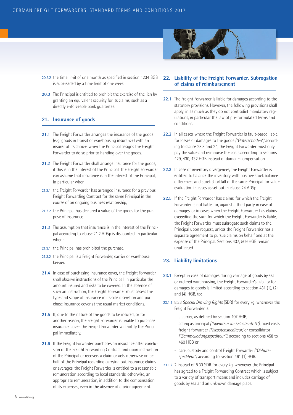- 
- 20.2.2 the time limit of one month as specified in section 1234 BGB is superseded by a time limit of one week.
- **20.3** The Principal is entitled to prohibit the exercise of the lien by granting an equivalent security for its claims, such as a directly enforceable bank guarantee.

# **21. Insurance of goods**

- **21.1** The Freight Forwarder arranges the insurance of the goods (e.g. goods in transit or warehousing insurance) with an insurer of its choice, when the Principal assigns the Freight Forwarder to do so prior to handing over the goods.
- **21.2** The Freight Forwarder shall arrange insurance for the goods, if this is in the interest of the Principal. The Freight Forwarder can assume that insurance is in the interest of the Principal, in particular when:
- 21.2.1 the Freight Forwarder has arranged insurance for a previous Freight Forwarding Contract for the same Principal in the course of an ongoing business relationship,
- 21.2.2 the Principal has declared a value of the goods for the purpose of insurance.
- **21.3** The assumption that insurance is in the interest of the Principal according to clause 21.2 ADSp is discounted, in particular when:
- 21.3.1 the Principal has prohibited the purchase,
- 21.3.2 the Principal is a Freight Forwarder, carrier or warehouse keeper.
- **21.4** In case of purchasing insurance cover, the Freight Forwarder shall observe instructions of the Principal, in particular the amount insured and risks to be covered. In the absence of such an instruction, the Freight Forwarder must assess the type and scope of insurance in its sole discretion and purchase insurance cover at the usual market conditions.
- **21.5** If, due to the nature of the goods to be insured, or for another reason, the Freight Forwarder is unable to purchase insurance cover, the Freight Forwarder will notify the Principal immediately.
- **21.6** If the Freight Forwarder purchases an insurance after conclusion of the Freight Forwarding Contract and upon instruction of the Principal or recovers a claim or acts otherwise on behalf of the Principal regarding carrying out insurance claims or averages, the Freight Forwarder is entitled to a reasonable remuneration according to local standards, otherwise, an appropriate remuneration, in addition to the compensation of its expenses, even in the absence of a prior agreement.



- **22.1** The Freight Forwarder is liable for damages according to the statutory provisions. However, the following provisions shall apply, in as much as they do not contradict mandatory regulations, in particular the law of pre-formulated terms and conditions.
- **22.2** In all cases, where the Freight Forwarder is fault-based liable for losses or damages to the goods *("Güterschaden")* according to clause 23.3 and 24, the Freight Forwarder must only pay the value and reimburse the costs according to sections 429, 430, 432 HGB instead of damage compensation.
- **22.3** In case of inventory divergences, the Freight Forwarder is entitled to balance the inventory with positive stock balance differences and stock shortfall of the same Principal for value evaluation in cases as set out in clause 24 ADSp.
- **22.5** If the Freight Forwarder has claims, for which the Freight Forwarder is not liable for, against a third party in case of damages, or in cases when the Freight Forwarder has claims exceeding the sum for which the Freight Forwarder is liable, the Freight Forwarder must subrogate such claims to the Principal upon request, unless the Freight Forwarder has a separate agreement to pursue claims on behalf and at the expense of the Principal. Sections 437, 509 HGB remain unaffected.

# **23. Liability limitations**

- **23.1** Except in case of damages during carriage of goods by sea or ordered warehousing, the Freight Forwarder's liability for damages to goods is limited according to section 431 (1), (2) and (4) HGB, to:
- 23.1.1 8.33 *Special Drawing Rights* (SDR) for every kg, whenever the Freight Forwarder is:
	- a carrier, as defined by section 407 HGB,
	- acting as principal *("Spediteur im Selbsteintritt")*, fixed costs freight forwarder *(Fixkostenspediteur)* or consolidator *("Sammelladungsspediteur")*, according to sections 458 to 460 HGB or
	- care, custody and control Freight Forwarder *("Obhutsspediteur")* according to Section 461 (1) HGB.
- 23.1.2 2 instead of 8.33 SDR for every kg, whenever the Principal has agreed to a Freight Forwarding Contract which is subject to a variety of transport means and includes carriage of goods by sea and an unknown damage place.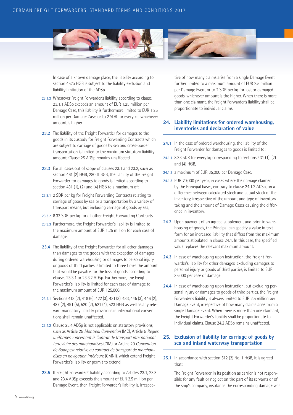

In case of a known damage place, the liability according to section 452a HGB is subject to the liability exclusion and liability limitation of the ADSp.

- 23.1.3 Whenever Freight Forwarder's liability according to clause 23.1.1 ADSp exceeds an amount of EUR 1.25 million per Damage Case, this liability is furthermore limited to EUR 1.25 million per Damage Case, or to 2 SDR for every kg, whichever amount is higher.
- **23.2** The liability of the Freight Forwarder for damages to the goods in its custody for Freight Forwarding Contracts which are subject to carriage of goods by sea and cross-border transportation is limited to the maximum statutory liability amount. Clause 25 ADSp remains unaffected.
- **23.3** For all cases out of scope of clauses 23.1 and 23.2, such as section 461 (2) HGB, 280 ff BGB, the liability of the Freight Forwarder for damages to goods is limited according to section 431 (1), (2) und (4) HGB to a maximum of:
- 23.3.1 2 SDR per kg for Freight Forwarding Contracts relating to carriage of goods by sea or a transportation by a variety of transport means, but including carriage of goods by sea,
- 23.3.2 8.33 SDR per kg for all other Freight Forwarding Contracts.
- 23.3.3 Furthermore, the Freight Forwarder's liability is limited to the maximum amount of EUR 1.25 million for each case of damage.
- **23.4** The liability of the Freight Forwarder for all other damages than damages to the goods with the exception of damages during ordered warehousing or damages to personal injury or goods of third parties is limited to three times the amount that would be payable for the loss of goods according to clauses 23.3.1 or 23.3.2 ADSp. Furthermore, the Freight Forwarder's liability is limited for each case of damage to the maximum amount of EUR 125,000.
- 23.4.1 Sections 413 (2), 418 (6), 422 (3), 431 (3), 433, 445 (3), 446 (2), 487 (2), 491 (5), 520 (2), 521 (4), 523 HGB as well as any relevant mandatory liability provisions in international conventions shall remain unaffected.
- 23.4.2 Clause 23.4 ADSp is not applicable on statutory provisions, such as Article 25 *Montreal Convention* (MC), Article 5 *Règles uniformes concernant le Contrat de transport international ferroviaire des marchandises* (CIM) or Article 20 *Convention de Budapest relative au contract de transport de marchandises en navigation intérieure* (CMNI), which extend Freight Forwarder's liability or permit to extend.
- **23.5** If Freight Forwarder's liability according to Articles 23.1, 23.3 and 23.4 ADSp exceeds the amount of EUR 2.5 million per Damage Event, then Freight Forwarder's liability is, irrespec-

tive of how many claims arise from a single Damage Event, further limited to a maximum amount of EUR 2.5 million per Damage Event or to 2 SDR per kg for lost or damaged goods, whichever amount is the higher. When there is more than one claimant, the Freight Forwarder's liability shall be proportionate to individual claims.

# **24. Liability limitations for ordered warehousing, inventories and declaration of value**

- **24.1** In the case of ordered warehousing, the liability of the Freight Forwarder for damages to goods is limited to:
- 24.1.1 8.33 SDR for every kg corresponding to sections 431 (1), (2) and (4) HGB,
- 24.1.2 a maximum of EUR 35,000 per Damage Case.
- 24.1.3 EUR 70,000 per year, in cases where the damage claimed by the Principal bases, contrary to clause 24.1.2 ADSp, on a difference between calculated stock and actual stock of the inventory, irrespective of the amount and type of inventory taking and the amount of Damage Cases causing the difference in inventory.
- **24.2** Upon payment of an agreed supplement and prior to warehousing of goods, the Principal can specify a value in text form for an increased liability that differs from the maximum amounts stipulated in clause 24.1. In this case, the specified value replaces the relevant maximum amount.
- **24.3** In case of warehousing upon instruction, the Freight Forwarder's liability for other damages, excluding damages to personal injury or goods of third parties, is limited to EUR 35,000 per case of damage.
- **24.4** In case of warehousing upon instruction, but excluding personal injury or damages to goods of third parties, the Freight Forwarder's liability is always limited to EUR 2.5 million per Damage Event, irrespective of how many claims arise from a single Damage Event. When there is more than one claimant, the Freight Forwarder's liability shall be proportionate to individual claims. Clause 24.2 ADSp remains unaffected.

# **25. Exclusion of liability for carriage of goods by sea and inland waterway transportation**

**25.1** In accordance with section 512 (2) No. 1 HGB, it is agreed that:

> The Freight Forwarder in its position as carrier is not responsible for any fault or neglect on the part of its servants or of the ship's company, insofar as the corresponding damage was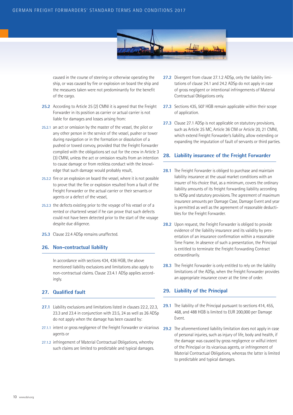

caused in the course of steering or otherwise operating the ship, or was caused by fire or explosion on board the ship and the measures taken were not predominantly for the benefit of the cargo.

- **25.2** According to Article 25 (2) CMNI it is agreed that the Freight Forwarder in its position as carrier or actual carrier is not liable for damages and losses arising from:
- 25.2.1 an act or omission by the master of the vessel, the pilot or any other person in the service of the vessel, pusher or tower during navigation or in the formation or dissolution of a pushed or towed convoy, provided that the Freight Forwarder complied with the obligations set out for the crew in Article 3 (3) CMNI, unless the act or omission results from an intention to cause damage or from reckless conduct with the knowledge that such damage would probably result,
- 25.2.2 fire or an explosion on board the vessel, where it is not possible to prove that the fire or explosion resulted from a fault of the Freight Forwarder or the actual carrier or their servants or agents or a defect of the vessel,
- 25.2.3 the defects existing prior to the voyage of his vessel or of a rented or chartered vessel if he can prove that such defects could not have been detected prior to the start of the voyage despite due diligence.
- **25.3** Clause 22.4 ADSp remains unaffected.

### **26. Non-contractual liability**

In accordance with sections 434, 436 HGB, the above mentioned liability exclusions and limitations also apply to non-contractual claims. Clause 23.4.1 ADSp applies accordingly.

# **27. Qualified fault**

- **27.1** Liability exclusions and limitations listed in clauses 22.2, 22.3, 23.3 and 23.4 in conjunction with 23.5, 24 as well as 26 ADSp do not apply when the damage has been caused by:
- 27.1.1 intent or gross negligence of the Freight Forwarder or vicarious agents or
- 27.1.2 infringement of Material Contractual Obligations, whereby such claims are limited to predictable and typical damages.
- **27.2** Divergent from clause 27.1.2 ADSp, only the liability limitations of clause 24.1 and 24.2 ADSp do not apply in case of gross negligent or intentional infringements of Material Contractual Obligations only.
- **27.3** Sections 435, 507 HGB remain applicable within their scope of application.
- **27.3** Clause 27.1 ADSp is not applicable on statutory provisions, such as Article 25 MC, Article 36 CIM or Article 20, 21 CMNI, which extend Freight Forwarder's liability, allow extending or expanding the imputation of fault of servants or third parties.

### **28. Liability insurance of the Freight Forwarder**

- **28.1** The Freight Forwarder is obliged to purchase and maintain liability insurance at the usual market conditions with an insurer of his choice that, as a minimum, covers the ordinary liability amounts of its freight forwarding liability according to ADSp and statutory provisions. The agreement of maximum insurance amounts per Damage Case, Damage Event and year is permitted as well as the agreement of reasonable deductibles for the Freight Forwarder.
- **28.2** Upon request, the Freight Forwarder is obliged to provide evidence of the liability insurance and its validity by presentation of an insurance confirmation within a reasonable Time Frame. In absence of such a presentation, the Principal is entitled to terminate the Freight Forwarding Contract extraordinarily.
- **28.3** The Freight Forwarder is only entitled to rely on the liability limitations of the ADSp, when the Freight Forwarder provides an appropriate insurance cover at the time of order.

# **29. Liability of the Principal**

- **29.1** The liability of the Principal pursuant to sections 414, 455, 468, and 488 HGB is limited to EUR 200,000 per Damage Event.
- **29.2** The aforementioned liability limitation does not apply in case of personal injuries, such as injury of life, body and health, if the damage was caused by gross negligence or wilful intent of the Principal or its vicarious agents, or infringement of Material Contractual Obligations, whereas the latter is limited to predictable and typical damages.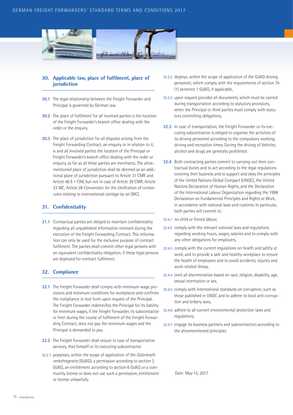

# **30. Applicable law, place of fulfilment, place of jurisdiction**

- **30.1** The legal relationship between the Freight Forwarder and Principal is governed by German law.
- **30.2** The place of fulfilment for all involved parties is the location of the Freight Forwarder's branch office dealing with the order or the enquiry.
- **30.3** The place of jurisdiction for all disputes arising from the Freight Forwarding Contract, an enquiry or in relation to it, is and all involved parties the location of the Principal or Freight Forwarder's branch office dealing with the order or enquiry, as far as all these parties are merchants. The aforementioned place of jurisdiction shall be deemed as an additional place of jurisdiction pursuant to Article 31 CMR and Article 46 § 1 CIM, but not in case of Article 39 CMR, Article 33 MC, Article 28 *Convention for the Unification of certain rules relating to international carriage by air* (WC).

# **31. Confidentiality**

**31.1** Contractual parties are obliged to maintain confidentiality regarding all unpublished information received during the execution of the Freight Forwarding Contract. This information can only be used for the exclusive purpose of contract fulfilment. The parties shall commit other legal persons with an equivalent confidentiality obligation, if these legal persons are deployed for contract fulfilment.

# **32. Compliance**

- **32.1** The Freight Forwarder shall comply with minimum wage provisions and minimum conditions for workplaces and confirms the compliance in text form upon request of the Principal. The Freight Forwarder indemnifies the Principal for its liability for minimum wages, if the Freight Forwarder, its subcontractor or hirer during the course of fulfilment of the Freight Forwarding Contract, does not pay the minimum wages and the Principal is demanded to pay.
- **32.2** The Freight Forwarder shall ensure in case of transportation services, that himself or its executing subcontractor
- 32.2.1 possesses, within the scope of application of the *Güterkraftverkehrsgesetz* (GüKG), a permission according to section 3 GüKG, an entitlement according to section 6 GüKG or a community license or does not use such a permission, entitlement or license unlawfully.
- 32.2.2 deploys, within the scope of application of the GüKG driving personnel, which comply with the requirements of section 7b (1) sentence 1 GüKG, if applicable,
- 32.2.3 upon request provides all documents, which must be carried during transportation according to statutory provisions, when the Principal or third parties must comply with statutory controlling obligations,
- **32.3** In case of transportation, the Freight Forwarder or its executing subcontractor is obliged to organise the activities of its driving personnel according to the compulsory working, driving and recreation times. During the driving of Vehicles, alcohol and drugs are generally prohibited.
- **32.4** Both contracting parties commit to carrying out their contractual duties and to act according to the legal regulations covering their business and to support and obey the principles of the United Nations Global Compact (UNGC), the United Nations Declaration of Human Rights, and the Declaration of the International Labour Organization regarding the 1998 Declaration on Fundamental Principles and Rights at Work, in accordance with national laws and customs. In particular, both parties will commit to:
- 32.4.1 no child or forced labour,
- 32.4.2 comply with the relevant national laws and regulations regarding working hours, wages, salaries and to comply with any other obligations for employers,
- 32.4.3 comply with the current regulations on health and safety at work, and to provide a safe and healthy workplace to ensure the health of employees and to avoid accidents, injuries and work-related illness,
- 32.4.4 omit all discrimination based on race, religion, disability, age, sexual orientation or sex,
- 32.4.5 comply with international standards on corruption, such as those published in UNGC and to adhere to local anti-corruption and bribery laws,
- 32.4.6 adhere to all current environmental protection laws and regulations,
- 32.4.7 engage its business partners and subcontractors according to the aforementioned principles.

Date: May 15, 2017